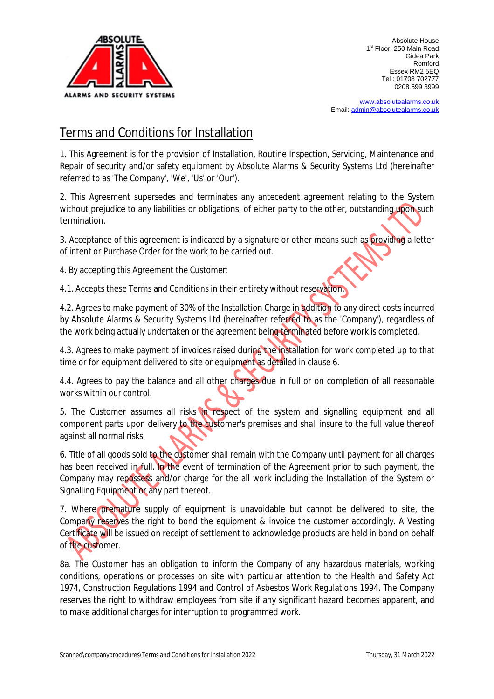

[www.absolutealarms.co.uk](http://www.absolutealarms.co.uk) Email: [admin@absolutealarms.co.uk](mailto:admin@absolutealarms.co.uk)

## Terms and Conditions for Installation

1. This Agreement is for the provision of Installation, Routine Inspection, Servicing, Maintenance and Repair of security and/or safety equipment by Absolute Alarms & Security Systems Ltd (hereinafter referred to as 'The Company', 'We', 'Us' or 'Our').

2. This Agreement supersedes and terminates any antecedent agreement relating to the System without prejudice to any liabilities or obligations, of either party to the other, outstanding upon such termination.

3. Acceptance of this agreement is indicated by a signature or other means such as providing a letter of intent or Purchase Order for the work to be carried out.

4. By accepting this Agreement the Customer:

4.1. Accepts these Terms and Conditions in their entirety without reservation.

4.2. Agrees to make payment of 30% of the Installation Charge in addition to any direct costs incurred by Absolute Alarms & Security Systems Ltd (hereinafter referred to as the 'Company'), regardless of the work being actually undertaken or the agreement being terminated before work is completed.

4.3. Agrees to make payment of invoices raised during the installation for work completed up to that time or for equipment delivered to site or equipment as detailed in clause 6.

4.4. Agrees to pay the balance and all other charges due in full or on completion of all reasonable works within our control.

5. The Customer assumes all risks in respect of the system and signalling equipment and all component parts upon delivery to the customer's premises and shall insure to the full value thereof against all normal risks.

6. Title of all goods sold to the customer shall remain with the Company until payment for all charges has been received in full. In the event of termination of the Agreement prior to such payment, the Company may repossess and/or charge for the all work including the Installation of the System or Signalling Equipment or any part thereof.

7. Where premature supply of equipment is unavoidable but cannot be delivered to site, the Company reserves the right to bond the equipment & invoice the customer accordingly. A Vesting Certificate will be issued on receipt of settlement to acknowledge products are held in bond on behalf of the customer.

8a. The Customer has an obligation to inform the Company of any hazardous materials, working conditions, operations or processes on site with particular attention to the Health and Safety Act 1974, Construction Regulations 1994 and Control of Asbestos Work Regulations 1994. The Company reserves the right to withdraw employees from site if any significant hazard becomes apparent, and to make additional charges for interruption to programmed work.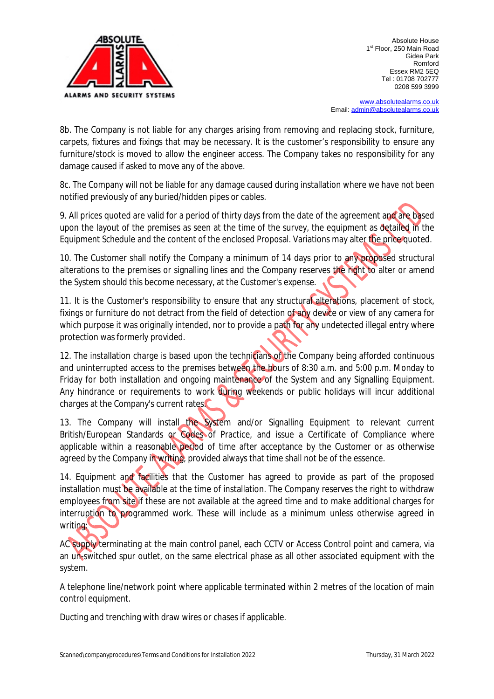

[www.absolutealarms.co.uk](http://www.absolutealarms.co.uk) Email: [admin@absolutealarms.co.uk](mailto:admin@absolutealarms.co.uk)

8b. The Company is not liable for any charges arising from removing and replacing stock, furniture, carpets, fixtures and fixings that may be necessary. It is the customer's responsibility to ensure any furniture/stock is moved to allow the engineer access. The Company takes no responsibility for any damage caused if asked to move any of the above.

8c. The Company will not be liable for any damage caused during installation where we have not been notified previously of any buried/hidden pipes or cables.

9. All prices quoted are valid for a period of thirty days from the date of the agreement and are based upon the layout of the premises as seen at the time of the survey, the equipment as detailed in the Equipment Schedule and the content of the enclosed Proposal. Variations may alter the price quoted.

10. The Customer shall notify the Company a minimum of 14 days prior to any proposed structural alterations to the premises or signalling lines and the Company reserves the right to alter or amend the System should this become necessary, at the Customer's expense.

11. It is the Customer's responsibility to ensure that any structural alterations, placement of stock, fixings or furniture do not detract from the field of detection of any device or view of any camera for which purpose it was originally intended, nor to provide a path for any undetected illegal entry where protection was formerly provided.

12. The installation charge is based upon the technicians of the Company being afforded continuous and uninterrupted access to the premises between the hours of 8:30 a.m. and 5:00 p.m. Monday to Friday for both installation and ongoing maintenance of the System and any Signalling Equipment. Any hindrance or requirements to work during weekends or public holidays will incur additional charges at the Company's current rates.

13. The Company will install the System and/or Signalling Equipment to relevant current British/European Standards or Codes of Practice, and issue a Certificate of Compliance where applicable within a reasonable period of time after acceptance by the Customer or as otherwise agreed by the Company in writing, provided always that time shall not be of the essence.

14. Equipment and facilities that the Customer has agreed to provide as part of the proposed installation must be available at the time of installation. The Company reserves the right to withdraw employees from site if these are not available at the agreed time and to make additional charges for interruption to programmed work. These will include as a minimum unless otherwise agreed in writing:

AC supply terminating at the main control panel, each CCTV or Access Control point and camera, via an un-switched spur outlet, on the same electrical phase as all other associated equipment with the system.

A telephone line/network point where applicable terminated within 2 metres of the location of main control equipment.

Ducting and trenching with draw wires or chases if applicable.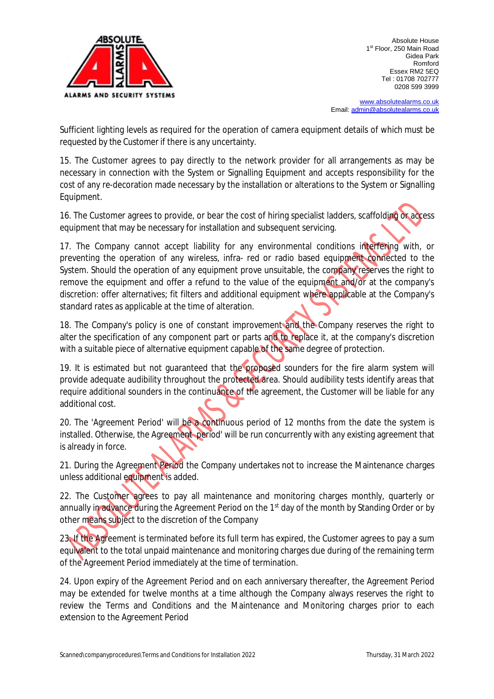

[www.absolutealarms.co.uk](http://www.absolutealarms.co.uk) Email: [admin@absolutealarms.co.uk](mailto:admin@absolutealarms.co.uk)

Sufficient lighting levels as required for the operation of camera equipment details of which must be requested by the Customer if there is any uncertainty.

15. The Customer agrees to pay directly to the network provider for all arrangements as may be necessary in connection with the System or Signalling Equipment and accepts responsibility for the cost of any re-decoration made necessary by the installation or alterations to the System or Signalling Equipment.

16. The Customer agrees to provide, or bear the cost of hiring specialist ladders, scaffolding or access equipment that may be necessary for installation and subsequent servicing.

17. The Company cannot accept liability for any environmental conditions interfering with, or preventing the operation of any wireless, infra- red or radio based equipment connected to the System. Should the operation of any equipment prove unsuitable, the company reserves the right to remove the equipment and offer a refund to the value of the equipment and/or at the company's discretion: offer alternatives; fit filters and additional equipment where applicable at the Company's standard rates as applicable at the time of alteration.

18. The Company's policy is one of constant improvement and the Company reserves the right to alter the specification of any component part or parts and to replace it, at the company's discretion with a suitable piece of alternative equipment capable of the same degree of protection.

19. It is estimated but not quaranteed that the proposed sounders for the fire alarm system will provide adequate audibility throughout the protected area. Should audibility tests identify areas that require additional sounders in the continuance of the agreement, the Customer will be liable for any additional cost.

20. The 'Agreement Period' will be a continuous period of 12 months from the date the system is installed. Otherwise, the Agreement period' will be run concurrently with any existing agreement that is already in force.

21. During the Agreement Period the Company undertakes not to increase the Maintenance charges unless additional equipment is added.

22. The Customer agrees to pay all maintenance and monitoring charges monthly, quarterly or annually in advance during the Agreement Period on the 1<sup>st</sup> day of the month by Standing Order or by other means subject to the discretion of the Company

23. If the Agreement is terminated before its full term has expired, the Customer agrees to pay a sum equivalent to the total unpaid maintenance and monitoring charges due during of the remaining term of the Agreement Period immediately at the time of termination.

24. Upon expiry of the Agreement Period and on each anniversary thereafter, the Agreement Period may be extended for twelve months at a time although the Company always reserves the right to review the Terms and Conditions and the Maintenance and Monitoring charges prior to each extension to the Agreement Period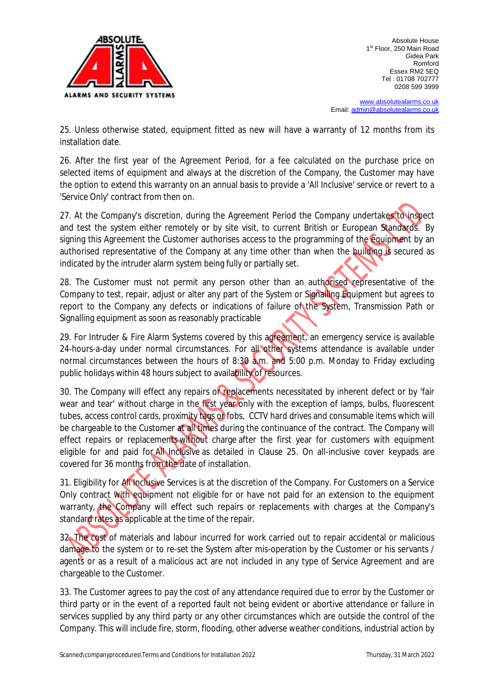

[www.absolutealarms.co.uk](http://www.absolutealarms.co.uk) Email: [admin@absolutealarms.co.uk](mailto:admin@absolutealarms.co.uk)

25. Unless otherwise stated, equipment fitted as new will have a warranty of 12 months from its installation date.

26. After the first year of the Agreement Period, for a fee calculated on the purchase price on selected items of equipment and always at the discretion of the Company, the Customer may have the option to extend this warranty on an annual basis to provide a 'All Inclusive' service or revert to a 'Service Only' contract from then on.

27. At the Company's discretion, during the Agreement Period the Company undertakes to inspect and test the system either remotely or by site visit, to current British or European Standards. By signing this Agreement the Customer authorises access to the programming of the equipment by an authorised representative of the Company at any time other than when the building is secured as indicated by the intruder alarm system being fully or partially set.

28. The Customer must not permit any person other than an authorised representative of the Company to test, repair, adjust or alter any part of the System or Signalling Equipment but agrees to report to the Company any defects or indications of failure of the System, Transmission Path or Signalling equipment as soon as reasonably practicable

29. For Intruder & Fire Alarm Systems covered by this agreement, an emergency service is available 24-hours-a-day under normal circumstances. For all other systems attendance is available under normal circumstances between the hours of 8:30 a.m. and 5:00 p.m. Monday to Friday excluding public holidays within 48 hours subject to availability of resources.

30. The Company will effect any repairs or replacements necessitated by inherent defect or by 'fair wear and tear' without charge in the first year only with the exception of lamps, bulbs, fluorescent tubes, access control cards, proximity tags or fobs, CCTV hard drives and consumable items which will be chargeable to the Customer at all times during the continuance of the contract. The Company will effect repairs or replacements without charge after the first year for customers with equipment eligible for and paid for All Inclusive as detailed in Clause 25. On all-inclusive cover keypads are covered for 36 months from the date of installation.

31. Eligibility for All Inclusive Services is at the discretion of the Company. For Customers on a Service Only contract with equipment not eligible for or have not paid for an extension to the equipment warranty, the Company will effect such repairs or replacements with charges at the Company's standard rates as applicable at the time of the repair.

32. The cost of materials and labour incurred for work carried out to repair accidental or malicious damage to the system or to re-set the System after mis-operation by the Customer or his servants / agents or as a result of a malicious act are not included in any type of Service Agreement and are chargeable to the Customer.

33. The Customer agrees to pay the cost of any attendance required due to error by the Customer or third party or in the event of a reported fault not being evident or abortive attendance or failure in services supplied by any third party or any other circumstances which are outside the control of the Company. This will include fire, storm, flooding, other adverse weather conditions, industrial action by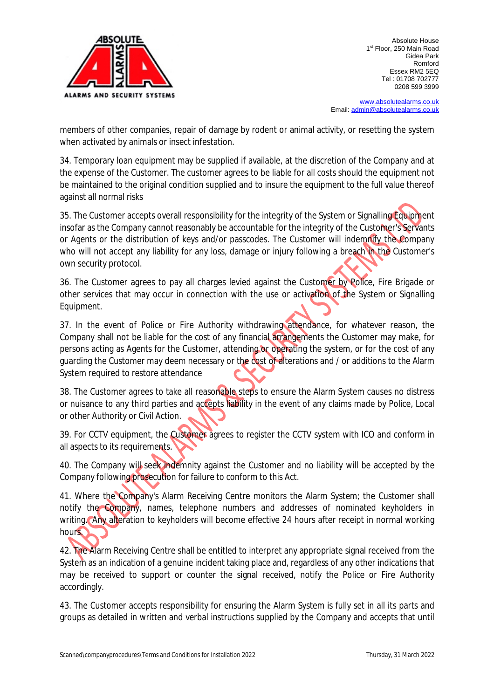

[www.absolutealarms.co.uk](http://www.absolutealarms.co.uk) Email: [admin@absolutealarms.co.uk](mailto:admin@absolutealarms.co.uk)

members of other companies, repair of damage by rodent or animal activity, or resetting the system when activated by animals or insect infestation.

34. Temporary loan equipment may be supplied if available, at the discretion of the Company and at the expense of the Customer. The customer agrees to be liable for all costs should the equipment not be maintained to the original condition supplied and to insure the equipment to the full value thereof against all normal risks

35. The Customer accepts overall responsibility for the integrity of the System or Signalling Equipment insofar as the Company cannot reasonably be accountable for the integrity of the Customer's Servants or Agents or the distribution of keys and/or passcodes. The Customer will indemnify the Company who will not accept any liability for any loss, damage or injury following a breach in the Customer's own security protocol.

36. The Customer agrees to pay all charges levied against the Customer by Police, Fire Brigade or other services that may occur in connection with the use or activation of the System or Signalling Equipment.

37. In the event of Police or Fire Authority withdrawing attendance, for whatever reason, the Company shall not be liable for the cost of any financial arrangements the Customer may make, for persons acting as Agents for the Customer, attending or operating the system, or for the cost of any guarding the Customer may deem necessary or the cost of alterations and / or additions to the Alarm System required to restore attendance

38. The Customer agrees to take all reasonable steps to ensure the Alarm System causes no distress or nuisance to any third parties and accepts liability in the event of any claims made by Police, Local or other Authority or Civil Action.

39. For CCTV equipment, the Customer agrees to register the CCTV system with ICO and conform in all aspects to its requirements.

40. The Company will seek indemnity against the Customer and no liability will be accepted by the Company following prosecution for failure to conform to this Act.

41. Where the Company's Alarm Receiving Centre monitors the Alarm System; the Customer shall notify the Company, names, telephone numbers and addresses of nominated keyholders in writing. Any alteration to keyholders will become effective 24 hours after receipt in normal working hours.

42. The Alarm Receiving Centre shall be entitled to interpret any appropriate signal received from the System as an indication of a genuine incident taking place and, regardless of any other indications that may be received to support or counter the signal received, notify the Police or Fire Authority accordingly.

43. The Customer accepts responsibility for ensuring the Alarm System is fully set in all its parts and groups as detailed in written and verbal instructions supplied by the Company and accepts that until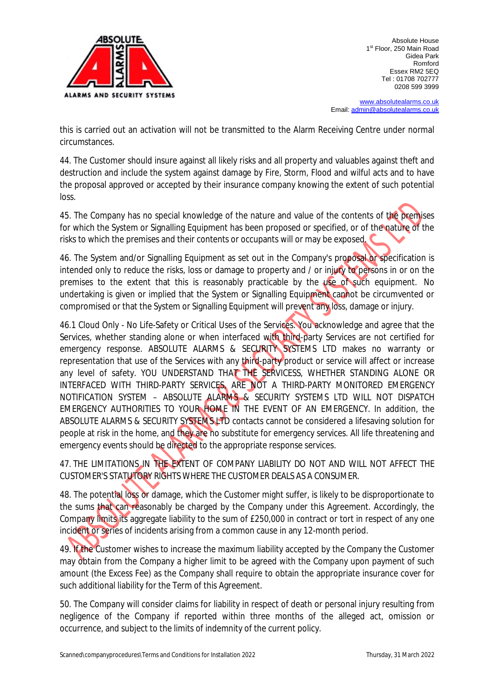

[www.absolutealarms.co.uk](http://www.absolutealarms.co.uk) Email: [admin@absolutealarms.co.uk](mailto:admin@absolutealarms.co.uk)

this is carried out an activation will not be transmitted to the Alarm Receiving Centre under normal circumstances.

44. The Customer should insure against all likely risks and all property and valuables against theft and destruction and include the system against damage by Fire, Storm, Flood and wilful acts and to have the proposal approved or accepted by their insurance company knowing the extent of such potential loss.

45. The Company has no special knowledge of the nature and value of the contents of the premises for which the System or Signalling Equipment has been proposed or specified, or of the nature of the risks to which the premises and their contents or occupants will or may be exposed.

46. The System and/or Signalling Equipment as set out in the Company's proposal or specification is intended only to reduce the risks, loss or damage to property and / or injury to persons in or on the premises to the extent that this is reasonably practicable by the use of such equipment. No undertaking is given or implied that the System or Signalling Equipment cannot be circumvented or compromised or that the System or Signalling Equipment will prevent any loss, damage or injury.

46.1 Cloud Only - No Life-Safety or Critical Uses of the Services. You acknowledge and agree that the Services, whether standing alone or when interfaced with third-party Services are not certified for emergency response. ABSOLUTE ALARMS & SECURITY SYSTEMS LTD makes no warranty or representation that use of the Services with any third-party product or service will affect or increase any level of safety. YOU UNDERSTAND THAT THE SERVICESS, WHETHER STANDING ALONE OR INTERFACED WITH THIRD-PARTY SERVICES, ARE NOT A THIRD-PARTY MONITORED EMERGENCY NOTIFICATION SYSTEM – ABSOLUTE ALARMS & SECURITY SYSTEMS LTD WILL NOT DISPATCH EMERGENCY AUTHORITIES TO YOUR HOME IN THE EVENT OF AN EMERGENCY. In addition, the ABSOLUTE ALARMS & SECURITY SYSTEMS LTD contacts cannot be considered a lifesaving solution for people at risk in the home, and they are no substitute for emergency services. All life threatening and emergency events should be directed to the appropriate response services.

47. THE LIMITATIONS IN THE EXTENT OF COMPANY LIABILITY DO NOT AND WILL NOT AFFECT THE CUSTOMER'S STATUTORY RIGHTS WHERE THE CUSTOMER DEALS AS A CONSUMER.

48. The potential loss or damage, which the Customer might suffer, is likely to be disproportionate to the sums that can reasonably be charged by the Company under this Agreement. Accordingly, the Company limits its aggregate liability to the sum of £250,000 in contract or tort in respect of any one incident or series of incidents arising from a common cause in any 12-month period.

49. If the Customer wishes to increase the maximum liability accepted by the Company the Customer may obtain from the Company a higher limit to be agreed with the Company upon payment of such amount (the Excess Fee) as the Company shall require to obtain the appropriate insurance cover for such additional liability for the Term of this Agreement.

50. The Company will consider claims for liability in respect of death or personal injury resulting from negligence of the Company if reported within three months of the alleged act, omission or occurrence, and subject to the limits of indemnity of the current policy.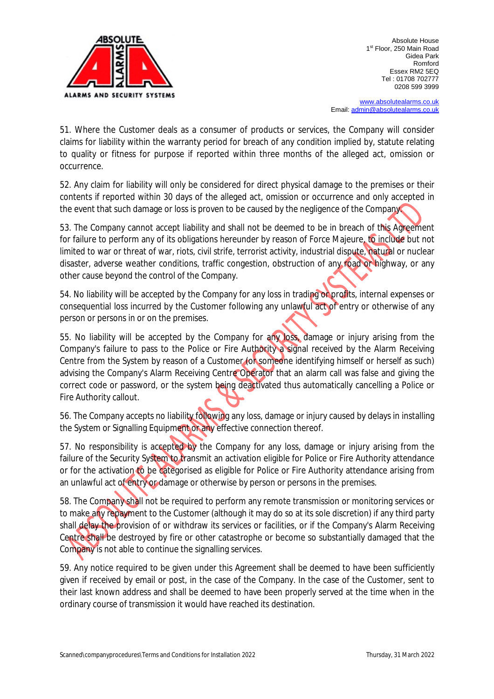

[www.absolutealarms.co.uk](http://www.absolutealarms.co.uk) Email: [admin@absolutealarms.co.uk](mailto:admin@absolutealarms.co.uk)

51. Where the Customer deals as a consumer of products or services, the Company will consider claims for liability within the warranty period for breach of any condition implied by, statute relating to quality or fitness for purpose if reported within three months of the alleged act, omission or occurrence.

52. Any claim for liability will only be considered for direct physical damage to the premises or their contents if reported within 30 days of the alleged act, omission or occurrence and only accepted in the event that such damage or loss is proven to be caused by the negligence of the Company.

53. The Company cannot accept liability and shall not be deemed to be in breach of this Agreement for failure to perform any of its obligations hereunder by reason of Force Majeure, to include but not limited to war or threat of war, riots, civil strife, terrorist activity, industrial dispute, natural or nuclear disaster, adverse weather conditions, traffic congestion, obstruction of any road or highway, or any other cause beyond the control of the Company.

54. No liability will be accepted by the Company for any loss in trading or profits, internal expenses or consequential loss incurred by the Customer following any unlawful act of entry or otherwise of any person or persons in or on the premises.

55. No liability will be accepted by the Company for any loss, damage or injury arising from the Company's failure to pass to the Police or Fire Authority a signal received by the Alarm Receiving Centre from the System by reason of a Customer (or someone identifying himself or herself as such) advising the Company's Alarm Receiving Centre Operator that an alarm call was false and giving the correct code or password, or the system being deactivated thus automatically cancelling a Police or Fire Authority callout.

56. The Company accepts no liability following any loss, damage or injury caused by delays in installing the System or Signalling Equipment or any effective connection thereof.

57. No responsibility is accepted by the Company for any loss, damage or injury arising from the failure of the Security System to transmit an activation eligible for Police or Fire Authority attendance or for the activation to be categorised as eligible for Police or Fire Authority attendance arising from an unlawful act of entry or damage or otherwise by person or persons in the premises.

58. The Company shall not be required to perform any remote transmission or monitoring services or to make any repayment to the Customer (although it may do so at its sole discretion) if any third party shall delay the provision of or withdraw its services or facilities, or if the Company's Alarm Receiving Centre shall be destroyed by fire or other catastrophe or become so substantially damaged that the Company is not able to continue the signalling services.

59. Any notice required to be given under this Agreement shall be deemed to have been sufficiently given if received by email or post, in the case of the Company. In the case of the Customer, sent to their last known address and shall be deemed to have been properly served at the time when in the ordinary course of transmission it would have reached its destination.